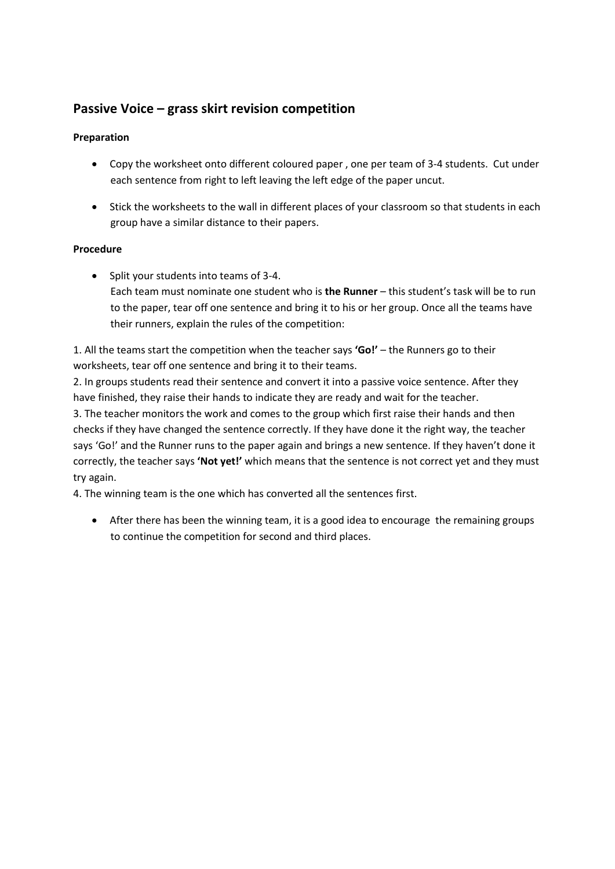## **Passive Voice – grass skirt revision competition**

## **Preparation**

- Copy the worksheet onto different coloured paper , one per team of 3-4 students. Cut under each sentence from right to left leaving the left edge of the paper uncut.
- Stick the worksheets to the wall in different places of your classroom so that students in each group have a similar distance to their papers.

## **Procedure**

• Split your students into teams of 3-4. Each team must nominate one student who is **the Runner** – this student's task will be to run to the paper, tear off one sentence and bring it to his or her group. Once all the teams have their runners, explain the rules of the competition:

1. All the teams start the competition when the teacher says **'Go!'** – the Runners go to their worksheets, tear off one sentence and bring it to their teams.

2. In groups students read their sentence and convert it into a passive voice sentence. After they have finished, they raise their hands to indicate they are ready and wait for the teacher.

3. The teacher monitors the work and comes to the group which first raise their hands and then checks if they have changed the sentence correctly. If they have done it the right way, the teacher says 'Go!' and the Runner runs to the paper again and brings a new sentence. If they haven't done it correctly, the teacher says **'Not yet!'** which means that the sentence is not correct yet and they must try again.

4. The winning team is the one which has converted all the sentences first.

 After there has been the winning team, it is a good idea to encourage the remaining groups to continue the competition for second and third places.